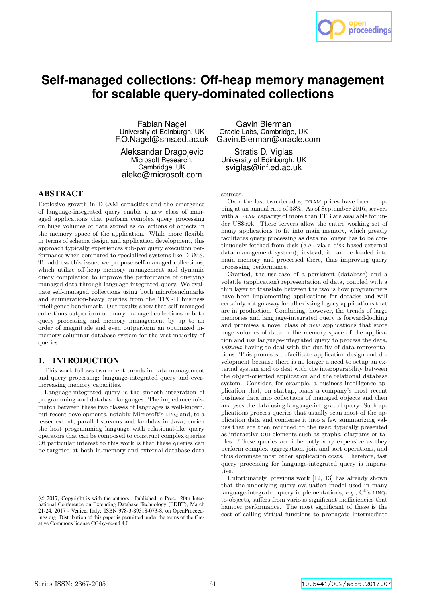

# **Self-managed collections: Off-heap memory management for scalable query-dominated collections**

Fabian Nagel University of Edinburgh, UK F.O.Nagel@sms.ed.ac.uk

Aleksandar Dragojevic Microsoft Research, Cambridge, UK alekd@microsoft.com

## ABSTRACT

Explosive growth in DRAM capacities and the emergence of language-integrated query enable a new class of managed applications that perform complex query processing on huge volumes of data stored as collections of objects in the memory space of the application. While more flexible in terms of schema design and application development, this approach typically experiences sub-par query execution performance when compared to specialized systems like DBMS. To address this issue, we propose self-managed collections, which utilize off-heap memory management and dynamic query compilation to improve the performance of querying managed data through language-integrated query. We evaluate self-managed collections using both microbenchmarks and enumeration-heavy queries from the TPC-H business intelligence benchmark. Our results show that self-managed collections outperform ordinary managed collections in both query processing and memory management by up to an order of magnitude and even outperform an optimized inmemory columnar database system for the vast majority of queries.

## 1. INTRODUCTION

This work follows two recent trends in data management and query processing: language-integrated query and everincreasing memory capacities.

Language-integrated query is the smooth integration of programming and database languages. The impedance mismatch between these two classes of languages is well-known, but recent developments, notably Microsoft's linq and, to a lesser extent, parallel streams and lambdas in Java, enrich the host programming language with relational-like query operators that can be composed to construct complex queries. Of particular interest to this work is that these queries can be targeted at both in-memory and external database data

Gavin Bierman Oracle Labs, Cambridge, UK Gavin.Bierman@oracle.com

Stratis D. Viglas University of Edinburgh, UK sviglas@inf.ed.ac.uk

sources.

Over the last two decades, DRAM prices have been dropping at an annual rate of 33%. As of September 2016, servers with a DRAM capacity of more than 1TB are available for under US\$50k. These servers allow the entire working set of many applications to fit into main memory, which greatly facilitates query processing as data no longer has to be continuously fetched from disk (e.g., via a disk-based external data management system); instead, it can be loaded into main memory and processed there, thus improving query processing performance.

Granted, the use-case of a persistent (database) and a volatile (application) representation of data, coupled with a thin layer to translate between the two is how programmers have been implementing applications for decades and will certainly not go away for all existing legacy applications that are in production. Combining, however, the trends of large memories and language-integrated query is forward-looking and promises a novel class of new applications that store huge volumes of data in the memory space of the application and use language-integrated query to process the data, without having to deal with the duality of data representations. This promises to facilitate application design and development because there is no longer a need to setup an external system and to deal with the interoperability between the object-oriented application and the relational database system. Consider, for example, a business intelligence application that, on startup, loads a company's most recent business data into collections of managed objects and then analyses the data using language-integrated query. Such applications process queries that usually scan most of the application data and condense it into a few summarizing values that are then returned to the user; typically presented as interactive gui elements such as graphs, diagrams or tables. These queries are inherently very expensive as they perform complex aggregation, join and sort operations, and thus dominate most other application costs. Therefore, fast query processing for language-integrated query is imperative.

Unfortunately, previous work [12, 13] has already shown that the underlying query evaluation model used in many language-integrated query implementations, e.g.,  $C^{\sharp}$ 's LINQto-objects, suffers from various significant inefficiencies that hamper performance. The most significant of these is the cost of calling virtual functions to propagate intermediate

c 2017, Copyright is with the authors. Published in Proc. 20th International Conference on Extending Database Technology (EDBT), March 21-24, 2017 - Venice, Italy: ISBN 978-3-89318-073-8, on OpenProceedings.org. Distribution of this paper is permitted under the terms of the Creative Commons license CC-by-nc-nd 4.0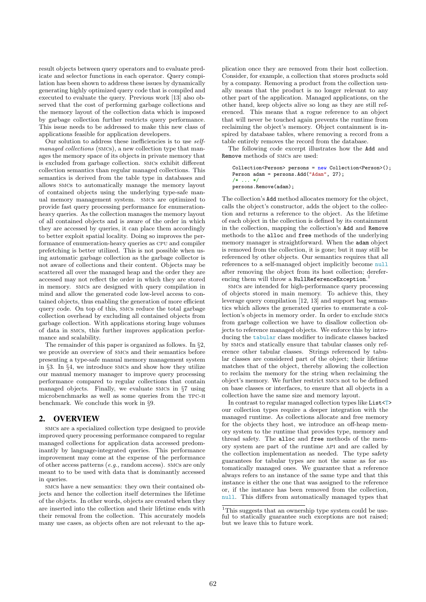result objects between query operators and to evaluate predicate and selector functions in each operator. Query compilation has been shown to address these issues by dynamically generating highly optimized query code that is compiled and executed to evaluate the query. Previous work [13] also observed that the cost of performing garbage collections and the memory layout of the collection data which is imposed by garbage collection further restricts query performance. This issue needs to be addressed to make this new class of applications feasible for application developers.

Our solution to address these inefficiencies is to use selfmanaged collections (SMCs), a new collection type that manages the memory space of its objects in private memory that is excluded from garbage collection. smcs exhibit different collection semantics than regular managed collections. This semantics is derived from the table type in databases and allows smcs to automatically manage the memory layout of contained objects using the underlying type-safe manual memory management system. smcs are optimized to provide fast query processing performance for enumerationheavy queries. As the collection manages the memory layout of all contained objects and is aware of the order in which they are accessed by queries, it can place them accordingly to better exploit spatial locality. Doing so improves the performance of enumeration-heavy queries as cpu and compiler prefetching is better utilized. This is not possible when using automatic garbage collection as the garbage collector is not aware of collections and their content. Objects may be scattered all over the managed heap and the order they are accessed may not reflect the order in which they are stored in memory. smcs are designed with query compilation in mind and allow the generated code low-level access to contained objects, thus enabling the generation of more efficient query code. On top of this, smcs reduce the total garbage collection overhead by excluding all contained objects from garbage collection. With applications storing huge volumes of data in smcs, this further improves application performance and scalability.

The remainder of this paper is organized as follows. In §2, we provide an overview of smcs and their semantics before presenting a type-safe manual memory management system in §3. In §4, we introduce smcs and show how they utilize our manual memory manager to improve query processing performance compared to regular collections that contain managed objects. Finally, we evaluate smcs in §7 using microbenchmarks as well as some queries from the tpc-h benchmark. We conclude this work in §9.

#### 2. OVERVIEW

smcs are a specialized collection type designed to provide improved query processing performance compared to regular managed collections for application data accessed predominantly by language-integrated queries. This performance improvement may come at the expense of the performance of other access patterns (e.g., random access). smcs are only meant to to be used with data that is dominantly accessed in queries.

smcs have a new semantics: they own their contained objects and hence the collection itself determines the lifetime of the objects. In other words, objects are created when they are inserted into the collection and their lifetime ends with their removal from the collection. This accurately models many use cases, as objects often are not relevant to the application once they are removed from their host collection. Consider, for example, a collection that stores products sold by a company. Removing a product from the collection usually means that the product is no longer relevant to any other part of the application. Managed applications, on the other hand, keep objects alive so long as they are still referenced. This means that a rogue reference to an object that will never be touched again prevents the runtime from reclaiming the object's memory. Object containment is inspired by database tables, where removing a record from a table entirely removes the record from the database.

The following code excerpt illustrates how the Add and Remove methods of smcs are used:

Collection<Person> persons = new Collection<Person>(); Person adam = persons.Add("Adam", 27);  $/* \ldots */$ persons.Remove(adam);

The collection's Add method allocates memory for the object, calls the object's constructor, adds the object to the collection and returns a reference to the object. As the lifetime of each object in the collection is defined by its containment in the collection, mapping the collection's Add and Remove methods to the alloc and free methods of the underlying memory manager is straightforward. When the adam object is removed from the collection, it is gone; but it may still be referenced by other objects. Our semantics requires that all references to a self-managed object implicitly become null after removing the object from its host collection; dereferencing them will throw a NullReferenceException.<sup>1</sup>

smcs are intended for high-performance query processing of objects stored in main memory. To achieve this, they leverage query compilation [12, 13] and support bag semantics which allows the generated queries to enumerate a collection's objects in memory order. In order to exclude smcs from garbage collection we have to disallow collection objects to reference managed objects. We enforce this by introducing the tabular class modifier to indicate classes backed by smcs and statically ensure that tabular classes only reference other tabular classes. Strings referenced by tabular classes are considered part of the object; their lifetime matches that of the object, thereby allowing the collection to reclaim the memory for the string when reclaiming the object's memory. We further restrict smcs not to be defined on base classes or interfaces, to ensure that all objects in a collection have the same size and memory layout.

In contrast to regular managed collection types like List<T> our collection types require a deeper integration with the managed runtime. As collections allocate and free memory for the objects they host, we introduce an off-heap memory system to the runtime that provides type, memory and thread safety. The alloc and free methods of the memory system are part of the runtime api and are called by the collection implementation as needed. The type safety guarantees for tabular types are not the same as for automatically managed ones. We guarantee that a reference always refers to an instance of the same type and that this instance is either the one that was assigned to the reference or, if the instance has been removed from the collection, null. This differs from automatically managed types that

<sup>&</sup>lt;sup>1</sup>This suggests that an ownership type system could be useful to statically guarantee such exceptions are not raised; but we leave this to future work.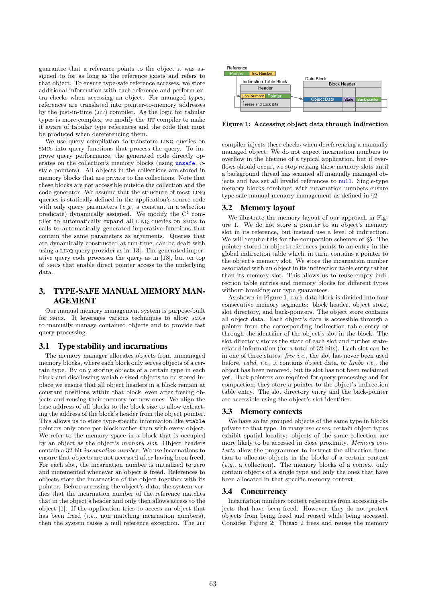guarantee that a reference points to the object it was assigned to for as long as the reference exists and refers to that object. To ensure type-safe reference accesses, we store additional information with each reference and perform extra checks when accessing an object. For managed types, references are translated into pointer-to-memory addresses by the just-in-time (JIT) compiler. As the logic for tabular types is more complex, we modify the JIT compiler to make it aware of tabular type references and the code that must be produced when dereferencing them.

We use query compilation to transform LINQ queries on smcs into query functions that process the query. To improve query performance, the generated code directly operates on the collection's memory blocks (using unsafe, cstyle pointers). All objects in the collections are stored in memory blocks that are private to the collections. Note that these blocks are not accessible outside the collection and the code generator. We assume that the structure of most linq queries is statically defined in the application's source code with only query parameters (e.g., a constant in a selection predicate) dynamically assigned. We modify the C<sup>‡</sup> compiler to automatically expand all linq queries on smcs to calls to automatically generated imperative functions that contain the same parameters as arguments. Queries that are dynamically constructed at run-time, can be dealt with using a LINQ query provider as in  $[13]$ . The generated imperative query code processes the query as in [13], but on top of smcs that enable direct pointer access to the underlying data.

## 3. TYPE-SAFE MANUAL MEMORY MAN-AGEMENT

Our manual memory management system is purpose-built for smcs. It leverages various techniques to allow smcs to manually manage contained objects and to provide fast query processing.

#### 3.1 Type stability and incarnations

The memory manager allocates objects from unmanaged memory blocks, where each block only serves objects of a certain type. By only storing objects of a certain type in each block and disallowing variable-sized objects to be stored inplace we ensure that all object headers in a block remain at constant positions within that block, even after freeing objects and reusing their memory for new ones. We align the base address of all blocks to the block size to allow extracting the address of the block's header from the object pointer. This allows us to store type-specific information like vtable pointers only once per block rather than with every object. We refer to the memory space in a block that is occupied by an object as the object's memory slot. Object headers contain a 32-bit incarnation number. We use incarnations to ensure that objects are not accessed after having been freed. For each slot, the incarnation number is initialized to zero and incremented whenever an object is freed. References to objects store the incarnation of the object together with its pointer. Before accessing the object's data, the system verifies that the incarnation number of the reference matches that in the object's header and only then allows access to the object [1]. If the application tries to access an object that has been freed *(i.e.*, non matching incarnation numbers), then the system raises a null reference exception. The JIT



Figure 1: Accessing object data through indirection

compiler injects these checks when dereferencing a manually managed object. We do not expect incarnation numbers to overflow in the lifetime of a typical application, but if overflows should occur, we stop reusing these memory slots until a background thread has scanned all manually managed objects and has set all invalid references to null. Single-type memory blocks combined with incarnation numbers ensure type-safe manual memory management as defined in §2.

#### 3.2 Memory layout

We illustrate the memory layout of our approach in Figure 1. We do not store a pointer to an object's memory slot in its reference, but instead use a level of indirection. We will require this for the compaction schemes of §5. The pointer stored in object references points to an entry in the global indirection table which, in turn, contains a pointer to the object's memory slot. We store the incarnation number associated with an object in its indirection table entry rather than its memory slot. This allows us to reuse empty indirection table entries and memory blocks for different types without breaking our type guarantees.

As shown in Figure 1, each data block is divided into four consecutive memory segments: block header, object store, slot directory, and back-pointers. The object store contains all object data. Each object's data is accessible through a pointer from the corresponding indirection table entry or through the identifier of the object's slot in the block. The slot directory stores the state of each slot and further staterelated information (for a total of 32 bits). Each slot can be in one of three states: free i.e., the slot has never been used before, valid, i.e., it contains object data, or limbo i.e., the object has been removed, but its slot has not been reclaimed yet. Back-pointers are required for query processing and for compaction; they store a pointer to the object's indirection table entry. The slot directory entry and the back-pointer are accessible using the object's slot identifier.

#### 3.3 Memory contexts

We have so far grouped objects of the same type in blocks private to that type. In many use cases, certain object types exhibit spatial locality: objects of the same collection are more likely to be accessed in close proximity. Memory contexts allow the programmer to instruct the allocation function to allocate objects in the blocks of a certain context (e.g., a collection). The memory blocks of a context only contain objects of a single type and only the ones that have been allocated in that specific memory context.

#### 3.4 Concurrency

Incarnation numbers protect references from accessing objects that have been freed. However, they do not protect objects from being freed and reused while being accessed. Consider Figure 2: Thread 2 frees and reuses the memory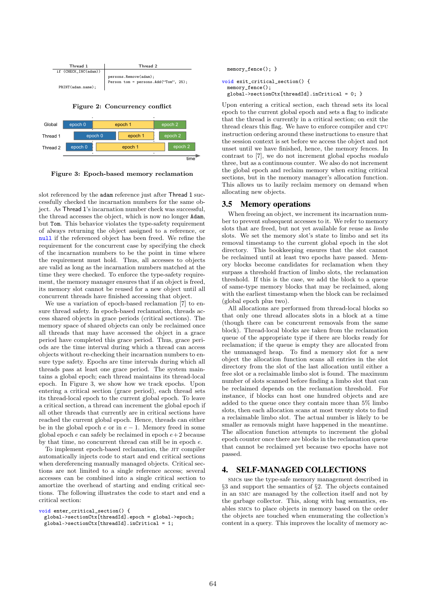



slot referenced by the adam reference just after Thread 1 successfully checked the incarnation numbers for the same object. As Thread 1's incarnation number check was successful, the thread accesses the object, which is now no longer Adam, but Tom. This behavior violates the type-safety requirement of always returning the object assigned to a reference, or null if the referenced object has been freed. We refine the requirement for the concurrent case by specifying the check of the incarnation numbers to be the point in time where the requirement must hold. Thus, all accesses to objects are valid as long as the incarnation numbers matched at the time they were checked. To enforce the type-safety requirement, the memory manager ensures that if an object is freed, its memory slot cannot be reused for a new object until all concurrent threads have finished accessing that object.

We use a variation of epoch-based reclamation [7] to ensure thread safety. In epoch-based reclamation, threads access shared objects in grace periods (critical sections). The memory space of shared objects can only be reclaimed once all threads that may have accessed the object in a grace period have completed this grace period. Thus, grace periods are the time interval during which a thread can access objects without re-checking their incarnation numbers to ensure type safety. Epochs are time intervals during which all threads pass at least one grace period. The system maintains a global epoch; each thread maintains its thread-local epoch. In Figure 3, we show how we track epochs. Upon entering a critical section (grace period), each thread sets its thread-local epoch to the current global epoch. To leave a critical section, a thread can increment the global epoch if all other threads that currently are in critical sections have reached the current global epoch. Hence, threads can either be in the global epoch  $e$  or in  $e-1$ . Memory freed in some global epoch  $e$  can safely be reclaimed in epoch  $e+2$  because by that time, no concurrent thread can still be in epoch e.

To implement epoch-based reclamation, the JIT compiler automatically injects code to start and end critical sections when dereferencing manually managed objects. Critical sections are not limited to a single reference access; several accesses can be combined into a single critical section to amortize the overhead of starting and ending critical sections. The following illustrates the code to start and end a critical section:

```
void enter_critical_section() {
```

```
global->sectionCtx[threadId].epoch = global->epoch;
global->sectionCtx[threadId].inCritical = 1;
```

```
memory fence(): }
```

```
void exit_critical_section() {
 memory_fence();
 global->sectionCtx[threadId].inCritical = 0; }
```
Upon entering a critical section, each thread sets its local epoch to the current global epoch and sets a flag to indicate that the thread is currently in a critical section; on exit the thread clears this flag. We have to enforce compiler and cpu instruction ordering around these instructions to ensure that the session context is set before we access the object and not unset until we have finished, hence, the memory fences. In contrast to [7], we do not increment global epochs modulo three, but as a continuous counter. We also do not increment the global epoch and reclaim memory when exiting critical sections, but in the memory manager's allocation function. This allows us to lazily reclaim memory on demand when allocating new objects.

#### 3.5 Memory operations

When freeing an object, we increment its incarnation number to prevent subsequent accesses to it. We refer to memory slots that are freed, but not yet available for reuse as limbo slots. We set the memory slot's state to limbo and set its removal timestamp to the current global epoch in the slot directory. This bookkeeping ensures that the slot cannot be reclaimed until at least two epochs have passed. Memory blocks become candidates for reclamation when they surpass a threshold fraction of limbo slots, the reclamation threshold. If this is the case, we add the block to a queue of same-type memory blocks that may be reclaimed, along with the earliest timestamp when the block can be reclaimed (global epoch plus two).

All allocations are performed from thread-local blocks so that only one thread allocates slots in a block at a time (though there can be concurrent removals from the same block). Thread-local blocks are taken from the reclamation queue of the appropriate type if there are blocks ready for reclamation; if the queue is empty they are allocated from the unmanaged heap. To find a memory slot for a new object the allocation function scans all entries in the slot directory from the slot of the last allocation until either a free slot or a reclaimable limbo slot is found. The maximum number of slots scanned before finding a limbo slot that can be reclaimed depends on the reclamation threshold. For instance, if blocks can host one hundred objects and are added to the queue once they contain more than 5% limbo slots, then each allocation scans at most twenty slots to find a reclaimable limbo slot. The actual number is likely to be smaller as removals might have happened in the meantime. The allocation function attempts to increment the global epoch counter once there are blocks in the reclamation queue that cannot be reclaimed yet because two epochs have not passed.

## 4. SELF-MANAGED COLLECTIONS

smcs use the type-safe memory management described in §3 and support the semantics of §2. The objects contained in an smc are managed by the collection itself and not by the garbage collector. This, along with bag semantics, enables smcs to place objects in memory based on the order the objects are touched when enumerating the collection's content in a query. This improves the locality of memory ac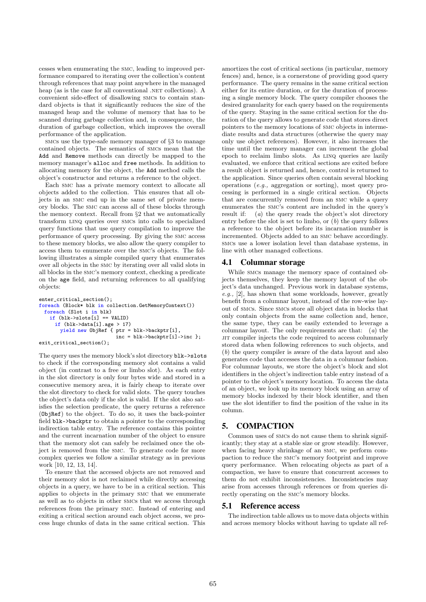cesses when enumerating the smc, leading to improved performance compared to iterating over the collection's content through references that may point anywhere in the managed heap (as is the case for all conventional .NET collections). A convenient side-effect of disallowing smcs to contain standard objects is that it significantly reduces the size of the managed heap and the volume of memory that has to be scanned during garbage collection and, in consequence, the duration of garbage collection, which improves the overall performance of the application.

smcs use the type-safe memory manager of §3 to manage contained objects. The semantics of smcs mean that the Add and Remove methods can directly be mapped to the memory manager's alloc and free methods. In addition to allocating memory for the object, the Add method calls the object's constructor and returns a reference to the object.

Each smc has a private memory context to allocate all objects added to the collection. This ensures that all objects in an smc end up in the same set of private memory blocks. The smc can access all of these blocks through the memory context. Recall from §2 that we automatically transform linq queries over smcs into calls to specialized query functions that use query compilation to improve the performance of query processing. By giving the smc access to these memory blocks, we also allow the query compiler to access them to enumerate over the smc's objects. The following illustrates a simple compiled query that enumerates over all objects in the smc by iterating over all valid slots in all blocks in the smc's memory context, checking a predicate on the age field, and returning references to all qualifying objects:

```
enter critical section();
foreach (Block* blk in collection.GetMemoryContext())
 foreach (Slot i in blk)
   if (blk->slots[i] == VALID)
     if (blk->data[i].age > 17)
       yield new ObjRef { ptr = blk->backptr[i],
                           inc = blk->backptr[i]->inc };
exit_critical_section();
```
The query uses the memory block's slot directory blk->slots to check if the corresponding memory slot contains a valid object (in contrast to a free or limbo slot). As each entry in the slot directory is only four bytes wide and stored in a consecutive memory area, it is fairly cheap to iterate over the slot directory to check for valid slots. The query touches the object's data only if the slot is valid. If the slot also satisfies the selection predicate, the query returns a reference (ObjRef) to the object. To do so, it uses the back-pointer field blk->backptr to obtain a pointer to the corresponding indirection table entry. The reference contains this pointer and the current incarnation number of the object to ensure that the memory slot can safely be reclaimed once the object is removed from the smc. To generate code for more complex queries we follow a similar strategy as in previous work [10, 12, 13, 14].

To ensure that the accessed objects are not removed and their memory slot is not reclaimed while directly accessing objects in a query, we have to be in a critical section. This applies to objects in the primary smc that we enumerate as well as to objects in other smcs that we access through references from the primary smc. Instead of entering and exiting a critical section around each object access, we process huge chunks of data in the same critical section. This

amortizes the cost of critical sections (in particular, memory fences) and, hence, is a cornerstone of providing good query performance. The query remains in the same critical section either for its entire duration, or for the duration of processing a single memory block. The query compiler chooses the desired granularity for each query based on the requirements of the query. Staying in the same critical section for the duration of the query allows to generate code that stores direct pointers to the memory locations of smc objects in intermediate results and data structures (otherwise the query may only use object references). However, it also increases the time until the memory manager can increment the global epoch to reclaim limbo slots. As linq queries are lazily evaluated, we enforce that critical sections are exited before a result object is returned and, hence, control is returned to the application. Since queries often contain several blocking operations (e.g., aggregation or sorting), most query processing is performed in a single critical section. Objects that are concurrently removed from an smc while a query enumerates the smc's content are included in the query's result if: (a) the query reads the object's slot directory entry before the slot is set to limbo, or  $(b)$  the query follows a reference to the object before its incarnation number is incremented. Objects added to an smc behave accordingly. smcs use a lower isolation level than database systems, in line with other managed collections.

#### 4.1 Columnar storage

While smcs manage the memory space of contained objects themselves, they keep the memory layout of the object's data unchanged. Previous work in database systems, e.g., [2], has shown that some workloads, however, greatly benefit from a columnar layout, instead of the row-wise layout of smcs. Since smcs store all object data in blocks that only contain objects from the same collection and, hence, the same type, they can be easily extended to leverage a columnar layout. The only requirements are that: (a) the jit compiler injects the code required to access columnarly stored data when following references to such objects, and (b) the query compiler is aware of the data layout and also generates code that accesses the data in a columnar fashion. For columnar layouts, we store the object's block and slot identifiers in the object's indirection table entry instead of a pointer to the object's memory location. To access the data of an object, we look up its memory block using an array of memory blocks indexed by their block identifier, and then use the slot identifier to find the position of the value in its column.

## 5. COMPACTION

Common uses of smcs do not cause them to shrink significantly; they stay at a stable size or grow steadily. However, when facing heavy shrinkage of an smc, we perform compaction to reduce the smc's memory footprint and improve query performance. When relocating objects as part of a compaction, we have to ensure that concurrent accesses to them do not exhibit inconsistencies. Inconsistencies may arise from accesses through references or from queries directly operating on the smc's memory blocks.

#### 5.1 Reference access

The indirection table allows us to move data objects within and across memory blocks without having to update all ref-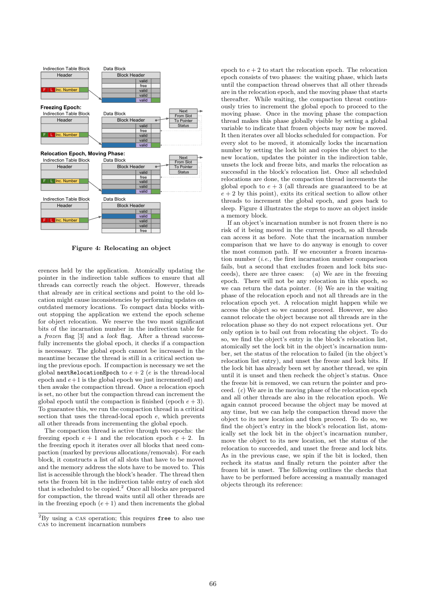

Figure 4: Relocating an object

erences held by the application. Atomically updating the pointer in the indirection table suffices to ensure that all threads can correctly reach the object. However, threads that already are in critical sections and point to the old location might cause inconsistencies by performing updates on outdated memory locations. To compact data blocks without stopping the application we extend the epoch scheme for object relocation. We reserve the two most significant bits of the incarnation number in the indirection table for a frozen flag [3] and a lock flag. After a thread successfully increments the global epoch, it checks if a compaction is necessary. The global epoch cannot be increased in the meantime because the thread is still in a critical section using the previous epoch. If compaction is necessary we set the global nextRelocationEpoch to  $e + 2$  (e is the thread-local epoch and  $e+1$  is the global epoch we just incremented) and then awake the compaction thread. Once a relocation epoch is set, no other but the compaction thread can increment the global epoch until the compaction is finished (epoch  $e + 3$ ). To guarantee this, we run the compaction thread in a critical section that uses the thread-local epoch e, which prevents all other threads from incrementing the global epoch.

The compaction thread is active through two epochs: the freezing epoch  $e + 1$  and the relocation epoch  $e + 2$ . In the freezing epoch it iterates over all blocks that need compaction (marked by previous allocations/removals). For each block, it constructs a list of all slots that have to be moved and the memory address the slots have to be moved to. This list is accessible through the block's header. The thread then sets the frozen bit in the indirection table entry of each slot that is scheduled to be copied.<sup>2</sup> Once all blocks are prepared for compaction, the thread waits until all other threads are in the freezing epoch  $(e + 1)$  and then increments the global

epoch to  $e + 2$  to start the relocation epoch. The relocation epoch consists of two phases: the waiting phase, which lasts until the compaction thread observes that all other threads are in the relocation epoch, and the moving phase that starts thereafter. While waiting, the compaction threat continuously tries to increment the global epoch to proceed to the moving phase. Once in the moving phase the compaction thread makes this phase globally visible by setting a global variable to indicate that frozen objects may now be moved. It then iterates over all blocks scheduled for compaction. For every slot to be moved, it atomically locks the incarnation number by setting the lock bit and copies the object to the new location, updates the pointer in the indirection table, unsets the lock and freeze bits, and marks the relocation as successful in the block's relocation list. Once all scheduled relocations are done, the compaction thread increments the global epoch to  $e + 3$  (all threads are guaranteed to be at  $e + 2$  by this point), exits its critical section to allow other threads to increment the global epoch, and goes back to sleep. Figure 4 illustrates the steps to move an object inside a memory block.

If an object's incarnation number is not frozen there is no risk of it being moved in the current epoch, so all threads can access it as before. Note that the incarnation number comparison that we have to do anyway is enough to cover the most common path. If we encounter a frozen incarnation number  $(i.e., the first incarnation number comparison)$ fails, but a second that excludes frozen and lock bits succeeds), there are three cases: (a) We are in the freezing epoch. There will not be any relocation in this epoch, so we can return the data pointer.  $(b)$  We are in the waiting phase of the relocation epoch and not all threads are in the relocation epoch yet. A relocation might happen while we access the object so we cannot proceed. However, we also cannot relocate the object because not all threads are in the relocation phase so they do not expect relocations yet. Our only option is to bail out from relocating the object. To do so, we find the object's entry in the block's relocation list, atomically set the lock bit in the object's incarnation number, set the status of the relocation to failed (in the object's relocation list entry), and unset the freeze and lock bits. If the lock bit has already been set by another thread, we spin until it is unset and then recheck the object's status. Once the freeze bit is removed, we can return the pointer and proceed. (c) We are in the moving phase of the relocation epoch and all other threads are also in the relocation epoch. We again cannot proceed because the object may be moved at any time, but we can help the compaction thread move the object to its new location and then proceed. To do so, we find the object's entry in the block's relocation list, atomically set the lock bit in the object's incarnation number, move the object to its new location, set the status of the relocation to succeeded, and unset the freeze and lock bits. As in the previous case, we spin if the bit is locked, then recheck its status and finally return the pointer after the frozen bit is unset. The following outlines the checks that have to be performed before accessing a manually managed objects through its reference:

<sup>&</sup>lt;sup>2</sup>By using a CAS operation; this requires free to also use cas to increment incarnation numbers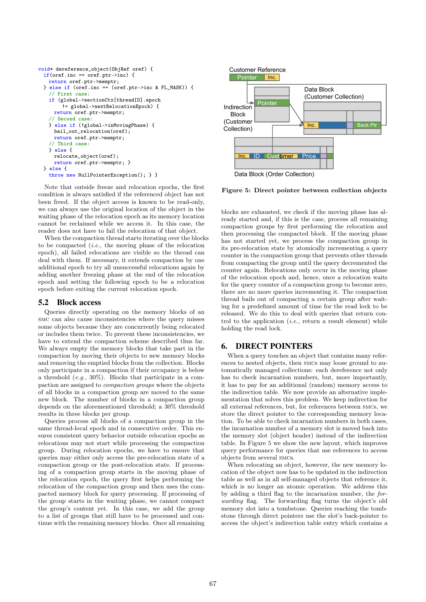```
void* dereference_object(ObjRef oref) {
 if(oref.inc == oref.ptr->inc) {
   return oref.ptr->memptr;
 } else if (oref.inc == (oref.ptr->inc & FL_MASK)) {
   // First case:
   if (global->sectionCtx[threadID].epoch
        != global->nextRelocationEpoch) {
     return oref.ptr->memptr;
   // Second case:
   } else if (!global->inMovingPhase) {
     bail out relocation(oref):
     return oref.ptr->memptr;
   // Third case:
   } else {
     relocate_object(oref);
     return oref.ptr->memptr; }
 } else {
   throw new NullPointerException(); } }
```
Note that outside freeze and relocation epochs, the first condition is always satisfied if the referenced object has not been freed. If the object access is known to be read-only, we can always use the original location of the object in the waiting phase of the relocation epoch as its memory location cannot be reclaimed while we access it. In this case, the reader does not have to fail the relocation of that object.

When the compaction thread starts iterating over the blocks to be compacted  $(i.e.,$  the moving phase of the relocation epoch), all failed relocations are visible so the thread can deal with them. If necessary, it extends compaction by one additional epoch to try all unsuccessful relocations again by adding another freezing phase at the end of the relocation epoch and setting the following epoch to be a relocation epoch before exiting the current relocation epoch.

#### 5.2 Block access

Queries directly operating on the memory blocks of an smc can also cause inconsistencies where the query misses some objects because they are concurrently being relocated or includes them twice. To prevent these inconsistencies, we have to extend the compaction scheme described thus far. We always empty the memory blocks that take part in the compaction by moving their objects to new memory blocks and removing the emptied blocks from the collection. Blocks only participate in a compaction if their occupancy is below a threshold  $(e.g., 30\%)$ . Blocks that participate in a compaction are assigned to compaction groups where the objects of all blocks in a compaction group are moved to the same new block. The number of blocks in a compaction group depends on the aforementioned threshold; a 30% threshold results in three blocks per group.

Queries process all blocks of a compaction group in the same thread-local epoch and in consecutive order. This ensures consistent query behavior outside relocation epochs as relocations may not start while processing the compaction group. During relocation epochs, we have to ensure that queries may either only access the pre-relocation state of a compaction group or the post-relocation state. If processing of a compaction group starts in the moving phase of the relocation epoch, the query first helps performing the relocation of the compaction group and then uses the compacted memory block for query processing. If processing of the group starts in the waiting phase, we cannot compact the group's content yet. In this case, we add the group to a list of groups that still have to be processed and continue with the remaining memory blocks. Once all remaining



#### Figure 5: Direct pointer between collection objects

blocks are exhausted, we check if the moving phase has already started and, if this is the case, process all remaining compaction groups by first performing the relocation and then processing the compacted block. If the moving phase has not started yet, we process the compaction group in its pre-relocation state by atomically incrementing a query counter in the compaction group that prevents other threads from compacting the group until the query decremented the counter again. Relocations only occur in the moving phase of the relocation epoch and, hence, once a relocation waits for the query counter of a compaction group to become zero, there are no more queries incrementing it. The compaction thread bails out of compacting a certain group after waiting for a predefined amount of time for the read lock to be released. We do this to deal with queries that return control to the application  $(i.e.,$  return a result element) while holding the read lock.

#### 6. DIRECT POINTERS

When a query touches an object that contains many references to nested objects, then smcs may loose ground to automatically managed collections: each dereference not only has to check incarnation numbers, but, more importantly, it has to pay for an additional (random) memory access to the indirection table. We now provide an alternative implementation that solves this problem. We keep indirection for all external references, but, for references between smcs, we store the direct pointer to the corresponding memory location. To be able to check incarnation numbers in both cases, the incarnation number of a memory slot is moved back into the memory slot (object header) instead of the indirection table. In Figure 5 we show the new layout, which improves query performance for queries that use references to access objects from several smcs.

When relocating an object, however, the new memory location of the object now has to be updated in the indirection table as well as in all self-managed objects that reference it, which is no longer an atomic operation. We address this by adding a third flag to the incarnation number, the forwarding flag. The forwarding flag turns the object's old memory slot into a tombstone. Queries reaching the tombstone through direct pointers use the slot's back-pointer to access the object's indirection table entry which contains a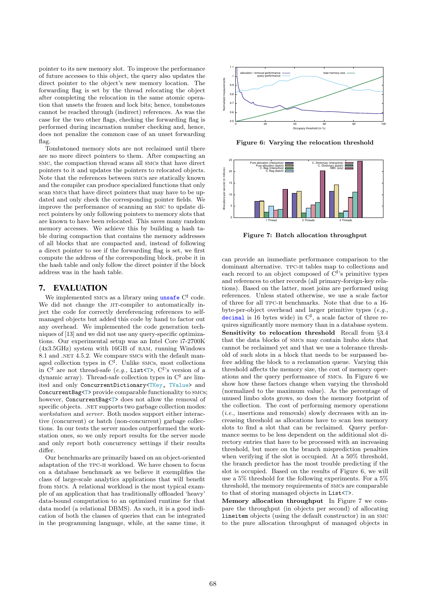pointer to its new memory slot. To improve the performance of future accesses to this object, the query also updates the direct pointer to the object's new memory location. The forwarding flag is set by the thread relocating the object after completing the relocation in the same atomic operation that unsets the frozen and lock bits; hence, tombstones cannot be reached through (indirect) references. As was the case for the two other flags, checking the forwarding flag is performed during incarnation number checking and, hence, does not penalize the common case of an unset forwarding flag.

Tombstoned memory slots are not reclaimed until there are no more direct pointers to them. After compacting an smc, the compaction thread scans all smcs that have direct pointers to it and updates the pointers to relocated objects. Note that the references between smcs are statically known and the compiler can produce specialized functions that only scan smcs that have direct pointers that may have to be updated and only check the corresponding pointer fields. We improve the performance of scanning an smc to update direct pointers by only following pointers to memory slots that are known to have been relocated. This saves many random memory accesses. We achieve this by building a hash table during compaction that contains the memory addresses of all blocks that are compacted and, instead of following a direct pointer to see if the forwarding flag is set, we first compute the address of the corresponding block, probe it in the hash table and only follow the direct pointer if the block address was in the hash table.

## 7. EVALUATION

We implemented smcs as a library using unsafe  $C^{\sharp}$  code. We did not change the JIT-compiler to automatically inject the code for correctly dereferencing references to selfmanaged objects but added this code by hand to factor out any overhead. We implemented the code generation techniques of [13] and we did not use any query-specific optimizations. Our experimental setup was an Intel Core i7-2700K (4x3.5GHz) system with 16GB of ram, running Windows 8.1 and .NET 4.5.2. We compare SMCs with the default managed collection types in C<sup>♯</sup> . Unlike smcs, most collections in  $C^{\sharp}$  are not thread-safe (e.g., List<T>,  $C^{\sharp}$ 's version of a dynamic array). Thread-safe collection types in C<sup>‡</sup> are limited and only ConcurrentDictionary<TKey, TValue> and ConcurrentBag<T> provide comparable functionality to smcs; however, ConcurrentBag<T> does not allow the removal of specific objects. .NET supports two garbage collection modes: workstation and server. Both modes support either interactive (concurrent) or batch (non-concurrent) garbage collections. In our tests the server modes outperformed the workstation ones, so we only report results for the server mode and only report both concurrency settings if their results differ.

Our benchmarks are primarily based on an object-oriented adaptation of the tpc-h workload. We have chosen to focus on a database benchmark as we believe it exemplifies the class of large-scale analytics applications that will benefit from smcs. A relational workload is the most typical example of an application that has traditionally offloaded 'heavy' data-bound computation to an optimized runtime for that data model (a relational DBMS). As such, it is a good indication of both the classes of queries that can be integrated in the programming language, while, at the same time, it



Figure 6: Varying the relocation threshold



Figure 7: Batch allocation throughput

can provide an immediate performance comparison to the dominant alternative. tpc-h tables map to collections and each record to an object composed of  $C^{\sharp}$ 's primitive types and references to other records (all primary-foreign-key relations). Based on the latter, most joins are performed using references. Unless stated otherwise, we use a scale factor of three for all tpc-h benchmarks. Note that due to a 16 byte-per-object overhead and larger primitive types (e.g., decimal is 16 bytes wide) in  $C^{\sharp}$ , a scale factor of three requires significantly more memory than in a database system. Sensitivity to relocation threshold Recall from §3.4 that the data blocks of smcs may contain limbo slots that cannot be reclaimed yet and that we use a tolerance threshold of such slots in a block that needs to be surpassed before adding the block to a reclamation queue. Varying this threshold affects the memory size, the cost of memory operations and the query performance of smcs. In Figure 6 we show how these factors change when varying the threshold (normalized to the maximum value). As the percentage of unused limbo slots grows, so does the memory footprint of the collection. The cost of performing memory operations (i.e., insertions and removals) slowly decreases with an increasing threshold as allocations have to scan less memory slots to find a slot that can be reclaimed. Query performance seems to be less dependent on the additional slot directory entries that have to be processed with an increasing threshold, but more on the branch misprediction penalties when verifying if the slot is occupied. At a 50% threshold, the branch predictor has the most trouble predicting if the slot is occupied. Based on the results of Figure 6, we will use a 5% threshold for the following experiments. For a 5% threshold, the memory requirements of smcs are comparable to that of storing managed objects in List<T>.

Memory allocation throughput In Figure 7 we compare the throughput (in objects per second) of allocating lineitem objects (using the default constructor) in an smc to the pure allocation throughput of managed objects in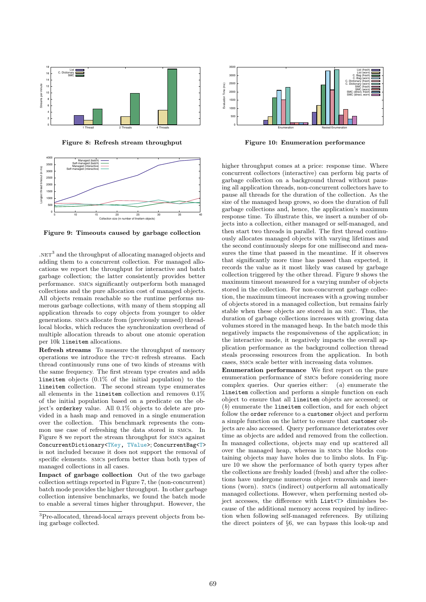

Figure 8: Refresh stream throughput



Figure 9: Timeouts caused by garbage collection

 $NET<sup>3</sup>$  and the throughput of allocating managed objects and adding them to a concurrent collection. For managed allocations we report the throughput for interactive and batch garbage collection; the latter consistently provides better performance. smcs significantly outperform both managed collections and the pure allocation cost of managed objects. All objects remain reachable so the runtime performs numerous garbage collections, with many of them stopping all application threads to copy objects from younger to older generations. smcs allocate from (previously unused) threadlocal blocks, which reduces the synchronization overhead of multiple allocation threads to about one atomic operation per 10k lineitem allocations.

Refresh streams To measure the throughput of memory operations we introduce the tpc-h refresh streams. Each thread continuously runs one of two kinds of streams with the same frequency. The first stream type creates and adds lineitem objects (0.1% of the initial population) to the lineitem collection. The second stream type enumerates all elements in the lineitem collection and removes 0.1% of the initial population based on a predicate on the object's orderkey value. All 0.1% objects to delete are provided in a hash map and removed in a single enumeration over the collection. This benchmark represents the common use case of refreshing the data stored in smcs. In Figure 8 we report the stream throughput for smcs against ConcurrentDictionary<TKey, TValue>; ConcurrentBag<T> is not included because it does not support the removal of specific elements. smcs perform better than both types of managed collections in all cases.

Impact of garbage collection Out of the two garbage collection settings reported in Figure 7, the (non-concurrent) batch mode provides the higher throughput. In other garbage collection intensive benchmarks, we found the batch mode to enable a several times higher throughput. However, the



Figure 10: Enumeration performance

higher throughput comes at a price: response time. Where concurrent collectors (interactive) can perform big parts of garbage collection on a background thread without pausing all application threads, non-concurrent collectors have to pause all threads for the duration of the collection. As the size of the managed heap grows, so does the duration of full garbage collections and, hence, the application's maximum response time. To illustrate this, we insert a number of objects into a collection, either managed or self-managed, and then start two threads in parallel. The first thread continuously allocates managed objects with varying lifetimes and the second continuously sleeps for one millisecond and measures the time that passed in the meantime. If it observes that significantly more time has passed than expected, it records the value as it most likely was caused by garbage collection triggered by the other thread. Figure 9 shows the maximum timeout measured for a varying number of objects stored in the collection. For non-concurrent garbage collection, the maximum timeout increases with a growing number of objects stored in a managed collection, but remains fairly stable when these objects are stored in an smc. Thus, the duration of garbage collections increases with growing data volumes stored in the managed heap. In the batch mode this negatively impacts the responsiveness of the application; in the interactive mode, it negatively impacts the overall application performance as the background collection thread steals processing resources from the application. In both cases, smcs scale better with increasing data volumes.

Enumeration performance We first report on the pure enumeration performance of smcs before considering more complex queries. Our queries either: (a) enumerate the lineitem collection and perform a simple function on each object to ensure that all lineitem objects are accessed; or (b) enumerate the lineitem collection, and for each object follow the order reference to a customer object and perform a simple function on the latter to ensure that customer objects are also accessed. Query performance deteriorates over time as objects are added and removed from the collection. In managed collections, objects may end up scattered all over the managed heap, whereas in smcs the blocks containing objects may have holes due to limbo slots. In Figure 10 we show the performance of both query types after the collections are freshly loaded (fresh) and after the collections have undergone numerous object removals and insertions (worn). smcs (indirect) outperform all automatically managed collections. However, when performing nested object accesses, the difference with List<T> diminishes because of the additional memory access required by indirection when following self-managed references. By utilizing the direct pointers of §6, we can bypass this look-up and

 $\overline{{}^3\text{Pre-allocated}}$  , thread-local arrays prevent objects from being garbage collected.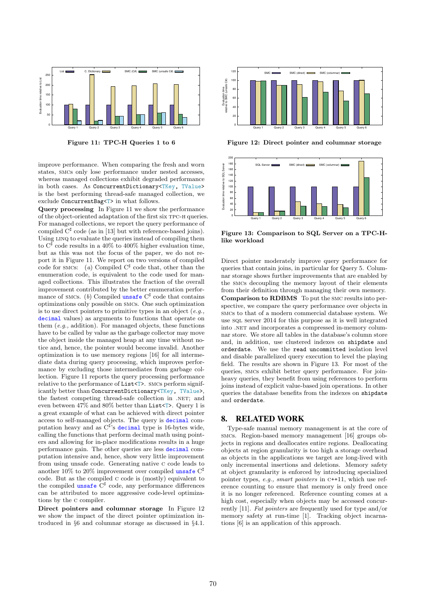

Figure 11: TPC-H Queries 1 to 6

improve performance. When comparing the fresh and worn states, smcs only lose performance under nested accesses, whereas managed collections exhibit degraded performance in both cases. As ConcurrentDictionary<TKey, TValue> is the best performing thread-safe managed collection, we exclude ConcurrentBag<T> in what follows.

Query processing In Figure 11 we show the performance of the object-oriented adaptation of the first six tpc-h queries. For managed collections, we report the query performance of compiled  $C^{\sharp}$  code (as in [13] but with reference-based joins). Using LINQ to evaluate the queries instead of compiling them to  $C^{\sharp}$  code results in a 40% to 400% higher evaluation time, but as this was not the focus of the paper, we do not report it in Figure 11. We report on two versions of compiled code for SMCs: (a) Compiled  $C^{\sharp}$  code that, other than the enumeration code, is equivalent to the code used for managed collections. This illustrates the fraction of the overall improvement contributed by the better enumeration performance of smcs. (b) Compiled unsafe  $C^{\sharp}$  code that contains optimizations only possible on smcs. One such optimization is to use direct pointers to primitive types in an object  $(e.g.,)$ decimal values) as arguments to functions that operate on them  $(e.a., addition).$  For managed objects, these functions have to be called by value as the garbage collector may move the object inside the managed heap at any time without notice and, hence, the pointer would become invalid. Another optimization is to use memory regions [16] for all intermediate data during query processing, which improves performance by excluding those intermediates from garbage collection. Figure 11 reports the query processing performance relative to the performance of List<T>. SMCs perform significantly better than ConcurrentDictionary<TKey, TValue>, the fastest competing thread-safe collection in .NET; and even between 47% and 80% better than List<T>. Query 1 is a great example of what can be achieved with direct pointer access to self-managed objects. The query is decimal computation heavy and as  $C^{\sharp}$ 's decimal type is 16-bytes wide, calling the functions that perform decimal math using pointers and allowing for in-place modifications results in a huge performance gain. The other queries are less decimal computation intensive and, hence, show very little improvement from using unsafe code. Generating native c code leads to another  $10\%$  to  $20\%$  improvement over compiled unsafe  $C^{\sharp}$ code. But as the compiled c code is (mostly) equivalent to the compiled unsafe  $C^{\sharp}$  code, any performance differences can be attributed to more aggressive code-level optimizations by the c compiler.

Direct pointers and columnar storage In Figure 12 we show the impact of the direct pointer optimization introduced in §6 and columnar storage as discussed in §4.1.



Figure 12: Direct pointer and columnar storage



Figure 13: Comparison to SQL Server on a TPC-Hlike workload

Direct pointer moderately improve query performance for queries that contain joins, in particular for Query 5. Columnar storage shows further improvements that are enabled by the smcs decoupling the memory layout of their elements from their definition through managing their own memory. Comparison to RDBMS To put the smc results into perspective, we compare the query performance over objects in smcs to that of a modern commercial database system. We use sql server 2014 for this purpose as it is well integrated into .NET and incorporates a compressed in-memory columnar store. We store all tables in the database's column store and, in addition, use clustered indexes on shipdate and orderdate. We use the read uncommitted isolation level and disable parallelized query execution to level the playing field. The results are shown in Figure 13. For most of the queries, smcs exhibit better query performance. For joinheavy queries, they benefit from using references to perform joins instead of explicit value-based join operations. In other queries the database benefits from the indexes on shipdate and orderdate.

## 8. RELATED WORK

Type-safe manual memory management is at the core of smcs. Region-based memory management [16] groups objects in regions and deallocates entire regions. Deallocating objects at region granularity is too high a storage overhead as objects in the applications we target are long-lived with only incremental insertions and deletions. Memory safety at object granularity is enforced by introducing specialized pointer types, e.g., smart pointers in c++11, which use reference counting to ensure that memory is only freed once it is no longer referenced. Reference counting comes at a high cost, especially when objects may be accessed concurrently [11]. Fat pointers are frequently used for type and/or memory safety at run-time [1]. Tracking object incarnations [6] is an application of this approach.